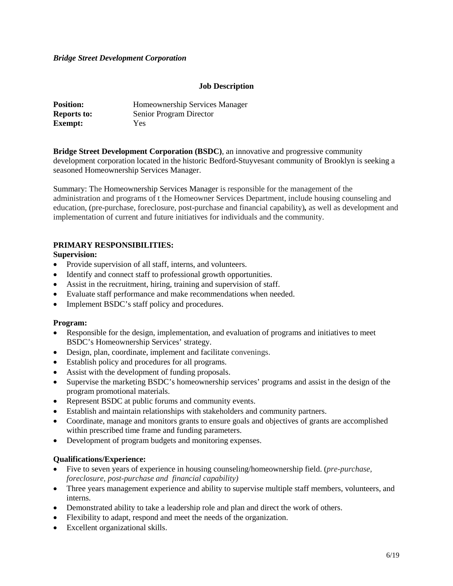## *Bridge Street Development Corporation*

# **Job Description**

| <b>Position:</b>   | Homeownership Services Manager |
|--------------------|--------------------------------|
| <b>Reports to:</b> | Senior Program Director        |
| <b>Exempt:</b>     | Yes.                           |

**Bridge Street Development Corporation (BSDC)**, an innovative and progressive community development corporation located in the historic Bedford-Stuyvesant community of Brooklyn is seeking a seasoned Homeownership Services Manager.

Summary: The Homeownership Services Manager is responsible for the management of the administration and programs of t the Homeowner Services Department, include housing counseling and education, (pre-purchase, foreclosure, post-purchase and financial capability)*,* as well as development and implementation of current and future initiatives for individuals and the community.

# **PRIMARY RESPONSIBILITIES:**

### **Supervision:**

- Provide supervision of all staff, interns, and volunteers.
- Identify and connect staff to professional growth opportunities.
- Assist in the recruitment, hiring, training and supervision of staff.
- Evaluate staff performance and make recommendations when needed.
- Implement BSDC's staff policy and procedures.

#### **Program:**

- Responsible for the design, implementation, and evaluation of programs and initiatives to meet BSDC's Homeownership Services' strategy.
- Design, plan, coordinate, implement and facilitate convenings.
- Establish policy and procedures for all programs.
- Assist with the development of funding proposals.
- Supervise the marketing BSDC's homeownership services' programs and assist in the design of the program promotional materials.
- Represent BSDC at public forums and community events.
- Establish and maintain relationships with stakeholders and community partners.
- Coordinate, manage and monitors grants to ensure goals and objectives of grants are accomplished within prescribed time frame and funding parameters.
- Development of program budgets and monitoring expenses.

# **Qualifications/Experience:**

- Five to seven years of experience in housing counseling/homeownership field. (*pre-purchase, foreclosure, post-purchase and financial capability)*
- Three years management experience and ability to supervise multiple staff members, volunteers, and interns.
- Demonstrated ability to take a leadership role and plan and direct the work of others.
- Flexibility to adapt, respond and meet the needs of the organization.
- Excellent organizational skills.